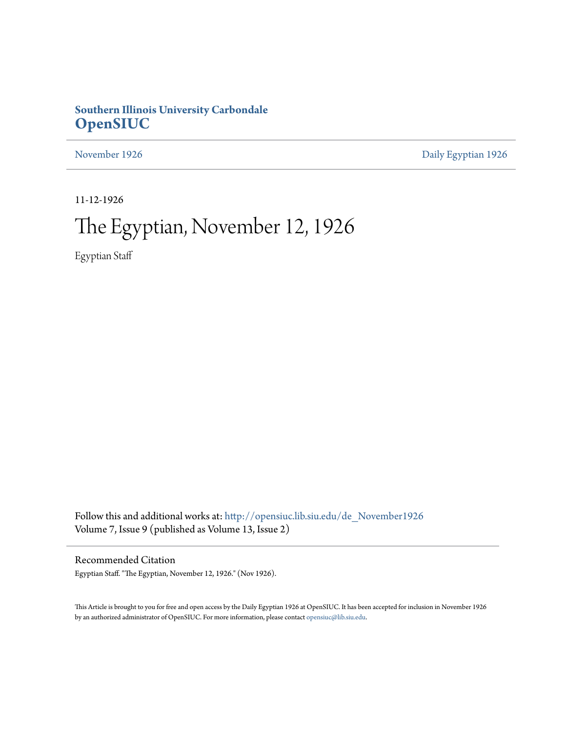## **Southern Illinois University Carbondale [OpenSIUC](http://opensiuc.lib.siu.edu?utm_source=opensiuc.lib.siu.edu%2Fde_November1926%2F3&utm_medium=PDF&utm_campaign=PDFCoverPages)**

[November 1926](http://opensiuc.lib.siu.edu/de_November1926?utm_source=opensiuc.lib.siu.edu%2Fde_November1926%2F3&utm_medium=PDF&utm_campaign=PDFCoverPages) [Daily Egyptian 1926](http://opensiuc.lib.siu.edu/de_1926?utm_source=opensiuc.lib.siu.edu%2Fde_November1926%2F3&utm_medium=PDF&utm_campaign=PDFCoverPages)

11-12-1926

# The Egyptian, November 12, 1926

Egyptian Staff

Follow this and additional works at: [http://opensiuc.lib.siu.edu/de\\_November1926](http://opensiuc.lib.siu.edu/de_November1926?utm_source=opensiuc.lib.siu.edu%2Fde_November1926%2F3&utm_medium=PDF&utm_campaign=PDFCoverPages) Volume 7, Issue 9 (published as Volume 13, Issue 2)

Recommended Citation

Egyptian Staff. "The Egyptian, November 12, 1926." (Nov 1926).

This Article is brought to you for free and open access by the Daily Egyptian 1926 at OpenSIUC. It has been accepted for inclusion in November 1926 by an authorized administrator of OpenSIUC. For more information, please contact [opensiuc@lib.siu.edu.](mailto:opensiuc@lib.siu.edu)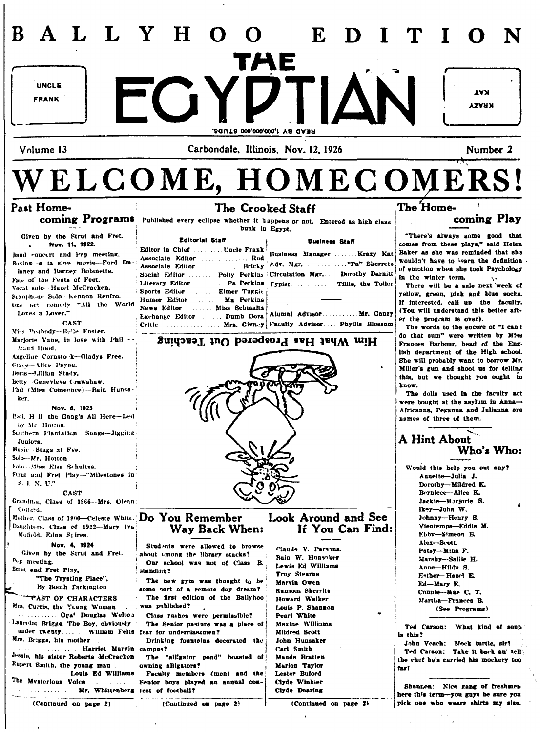#### $\mathbf{E}$ L L Y  $H$  $\Omega$ UNCLE  $\overline{\phantom{a}}$  ( ) **IVY FRANK** KRAXY .20UT8 000,000,000,I Y8 OA3R Volume 13 Carbondale, Illinois, Nov. 12, 1926 Number 2 WELCOME, HOMECOMERS! The Home-Past Home-The Crooked Staff coming Programs Published every eclipse whether it happens or not. Entered as high class coming Play bunk in Egypt. "There's always some good that Given by the Strut and Fret. Editorial Staff **Business Staff** Nov. 11, 1922. comes from these plays," said Helen Baker as she was reminded that she Band concert and Pep meeting. wouldn't have to learn the definition Boxing -a ta slow movie-Ford Duof emotion when she took Psychology laney and Barney Bobinette. Social Editor ........ Poliy Perkins Circulation Mgr......Dorothy Darnitt in the winter term. Face of the Feats of Feet. Literary Editor ........... Pa Perkins Typist .......... Tillie, the Toiler There will be a sale next week of Vocal solo-Hazel McCracken. Sports Editor ......... Elmer Tuggie yellow, green, pink and blue socks. Sexonhone Solo-Nennon Renfro. Humor Editor....... Ma Perkins If interested, call up the faculty. tme act comedy--"All the World News Editor ........ Miss Schmaltz (You will understand this better aft-Exchange Editor ........ Dumb Dora Alumni Advisor............ Mr. Ganzy Loves a Lover." er the program is over). CAST Critic ................ Mrs. Givney Faculty Advisor..... Phyllis Blossom The words to the encore of "I can't Miss Peabody-Belle Foster. do that sum" were written by Miss Marjorie Vane, in love with Phil -Him What Has Prospered Out Teaching Frances Barbour, head of the Eng-**Mart Hood.** lish department of the High school. Angeline Cornsto. k-Gladys Free. She will probably want to borrow Mr. Grace-Alice Payne. Miller's gun and shoot us for telling Imris-J.illian Stady. this, but we thought you ought to Betty-Genevieve Crawshaw. know. Thil (Miss Comeonce)--Bain Hunsa-The dolls used in the faculty act ker. were bought at the asylum in Anna-Nov. 6, 1923 Africanna, Peganna and Julianna are Hail, H il, the Gang's All Here-Led names of three of them. by Mr. Hotton. Southern Plantation Songs-Jigging **A Hint About** Juniors. Music-Stags at Fve. Who's Who: Solo-Mr. Hotton Solo-Miss Elsa Schultze. Would this help you out any? **Etrut and Fret Play-"Milestones in** Annette-Julia J. S. I. N. U." Dorothy-Mildred K. Berniece-Alice K. **CAST** Grandma, Class of 1866--Mrs. Olean Jackie-Marjorie S. Collard. lkev-John W. Look Around and See Mother, Class of 1900–Celeste White.  $Do$  You Remember Johnny-Heury S. Vientemps-Fddie M. Daughters, Class of 1922-Mary Iva If You Can Find: Way Back When: Ebby-Simeon E. Motield, Edna Stires. Alex--Scott. Nov. 4, 1924 Students were allowed to browse Claude V. Parsons. Patsy-Mina F. Given by the Strut and Fret. about among the library stacks? Bain W. Hunscher Marshy-Sallie H. <sup>Dep</sup> meeting. Our school was not of Class B. Lewis Ed Williams Anne-Hilda S. Strut and Fret Play, standing? Troy Stearns Esther-Hazel E. "The Trysting Place", The new gym was thought to be Marvin Owen Ed-Mary E. By Booth farkington some port of a remote day dream? Ransom Sherritz Connie-Mae C. T. **TOAST OF CHARACTERS** The first edition of the Ballyhoo Howard Walker Martha-Frances B. was published? Mrs. Curtis, the Young Woman Louis P. Shannon (See Programs) Class rushes were permissible? ........... Opa' Douglas Welton Pearl White Lancelor Briggs, The Boy, obviously The Senior pasture was a place of Maxine Williams Ted Carson: What kind of soup Mildred Scott is this? Mrs. Briggs, his mother ... John Hunsaker Drinking fountsins decorated the John Veach: Mock turtle, sir! Harriet Marvin campus? Carl Smith . . . . . . . . . Ted Carson: Take it back an' tell Jessie, his sister Roberta McCracken The "all'gator pond" boasted of Maude Bratten the chef he's carried his mockery too Rupert Smith, the young man owning alligators? Marion Taylor far! ... Louis Ed Williams Faculty members (men) and the Lester Buford The Mysterious Voice Clyde Winkier Senior boys played an annual con- $1.1.1.1.1.1.1.1$ Shannon: Nice gang of freshmen ................. Mr. Whittenberg test of football? Clyde Dearing here this term-you guys be sure you (Continued on page 2) (Continued on page 2) (Continued on page 2) pick one who wears shirts my size.